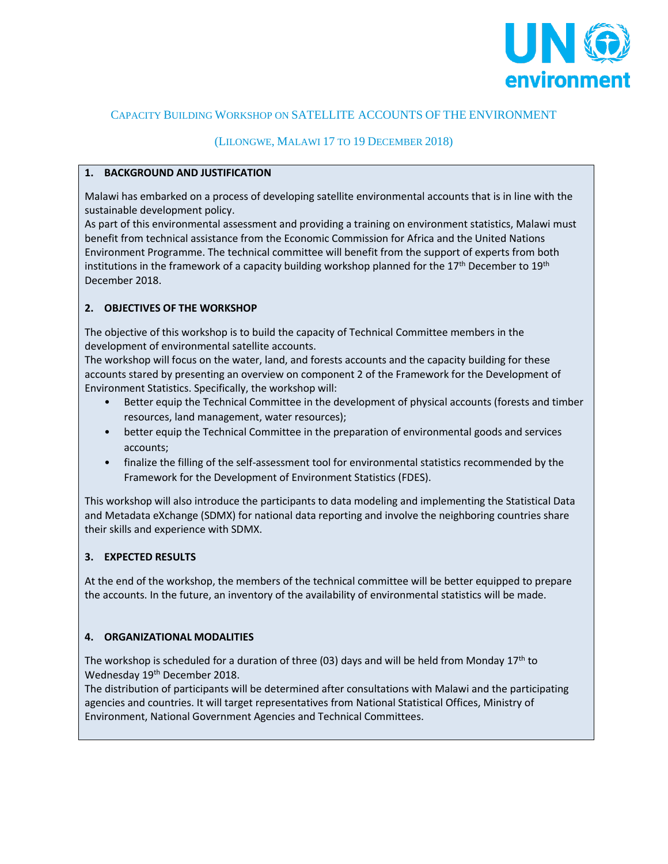

### CAPACITY BUILDING WORKSHOP ON SATELLITE ACCOUNTS OF THE ENVIRONMENT

### (LILONGWE, MALAWI 17 TO 19 DECEMBER 2018)

#### **1. BACKGROUND AND JUSTIFICATION**

Malawi has embarked on a process of developing satellite environmental accounts that is in line with the sustainable development policy.

As part of this environmental assessment and providing a training on environment statistics, Malawi must benefit from technical assistance from the Economic Commission for Africa and the United Nations Environment Programme. The technical committee will benefit from the support of experts from both institutions in the framework of a capacity building workshop planned for the  $17<sup>th</sup>$  December to  $19<sup>th</sup>$ December 2018.

### **2. OBJECTIVES OF THE WORKSHOP**

The objective of this workshop is to build the capacity of Technical Committee members in the development of environmental satellite accounts.

The workshop will focus on the water, land, and forests accounts and the capacity building for these accounts stared by presenting an overview on component 2 of the Framework for the Development of Environment Statistics. Specifically, the workshop will:

- Better equip the Technical Committee in the development of physical accounts (forests and timber resources, land management, water resources);
- better equip the Technical Committee in the preparation of environmental goods and services accounts;
- finalize the filling of the self-assessment tool for environmental statistics recommended by the Framework for the Development of Environment Statistics (FDES).

This workshop will also introduce the participants to data modeling and implementing the Statistical Data and Metadata eXchange (SDMX) for national data reporting and involve the neighboring countries share their skills and experience with SDMX.

### **3. EXPECTED RESULTS**

At the end of the workshop, the members of the technical committee will be better equipped to prepare the accounts. In the future, an inventory of the availability of environmental statistics will be made.

### **4. ORGANIZATIONAL MODALITIES**

The workshop is scheduled for a duration of three (03) days and will be held from Monday 17<sup>th</sup> to Wednesday 19<sup>th</sup> December 2018.

The distribution of participants will be determined after consultations with Malawi and the participating agencies and countries. It will target representatives from National Statistical Offices, Ministry of Environment, National Government Agencies and Technical Committees.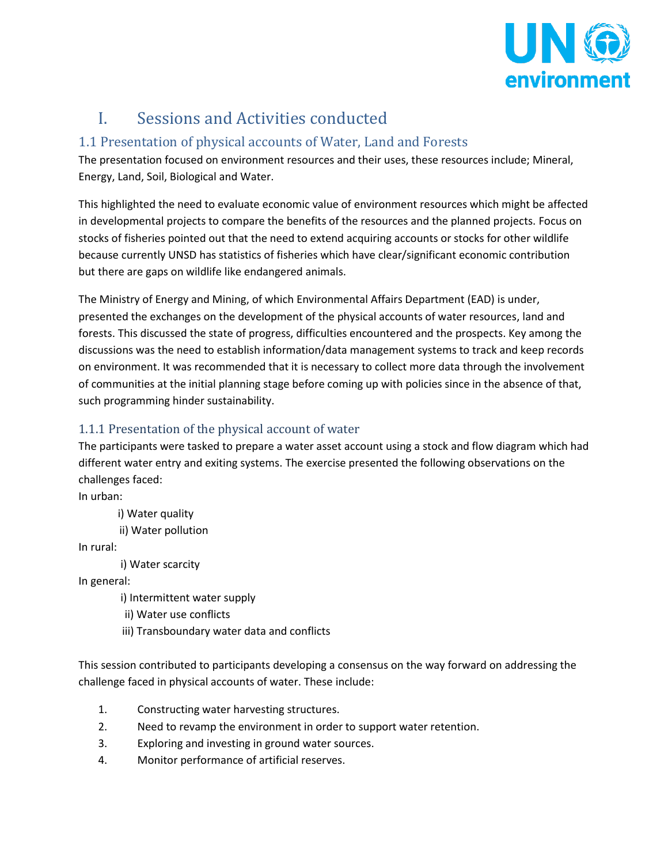

# I. Sessions and Activities conducted

## 1.1 Presentation of physical accounts of Water, Land and Forests

The presentation focused on environment resources and their uses, these resources include; Mineral, Energy, Land, Soil, Biological and Water.

This highlighted the need to evaluate economic value of environment resources which might be affected in developmental projects to compare the benefits of the resources and the planned projects. Focus on stocks of fisheries pointed out that the need to extend acquiring accounts or stocks for other wildlife because currently UNSD has statistics of fisheries which have clear/significant economic contribution but there are gaps on wildlife like endangered animals.

The Ministry of Energy and Mining, of which Environmental Affairs Department (EAD) is under, presented the exchanges on the development of the physical accounts of water resources, land and forests. This discussed the state of progress, difficulties encountered and the prospects. Key among the discussions was the need to establish information/data management systems to track and keep records on environment. It was recommended that it is necessary to collect more data through the involvement of communities at the initial planning stage before coming up with policies since in the absence of that, such programming hinder sustainability.

## 1.1.1 Presentation of the physical account of water

The participants were tasked to prepare a water asset account using a stock and flow diagram which had different water entry and exiting systems. The exercise presented the following observations on the challenges faced:

In urban:

i) Water quality

ii) Water pollution

In rural:

i) Water scarcity

In general:

i) Intermittent water supply

ii) Water use conflicts

iii) Transboundary water data and conflicts

This session contributed to participants developing a consensus on the way forward on addressing the challenge faced in physical accounts of water. These include:

- 1. Constructing water harvesting structures.
- 2. Need to revamp the environment in order to support water retention.
- 3. Exploring and investing in ground water sources.
- 4. Monitor performance of artificial reserves.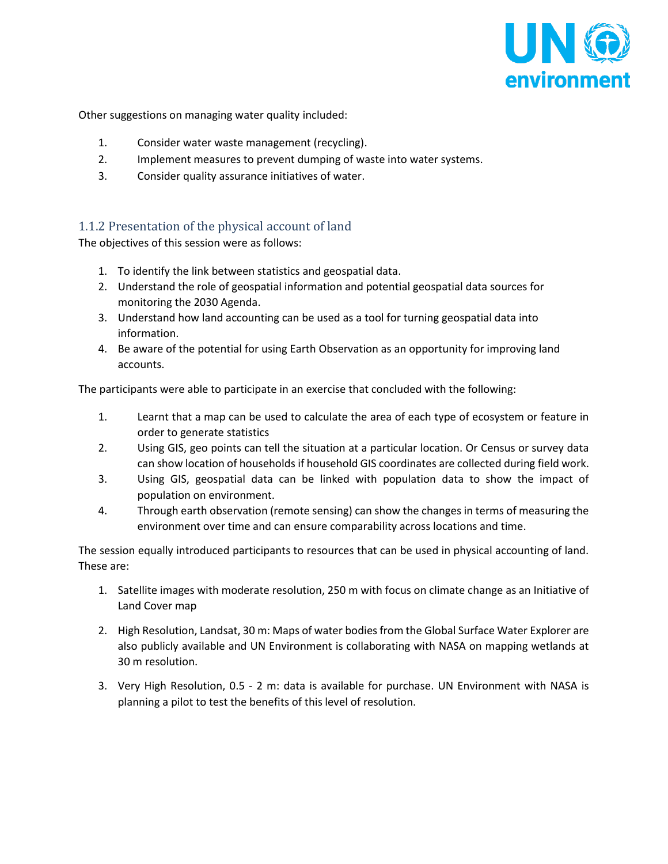

Other suggestions on managing water quality included:

- 1. Consider water waste management (recycling).
- 2. Implement measures to prevent dumping of waste into water systems.
- 3. Consider quality assurance initiatives of water.

### 1.1.2 Presentation of the physical account of land

The objectives of this session were as follows:

- 1. To identify the link between statistics and geospatial data.
- 2. Understand the role of geospatial information and potential geospatial data sources for monitoring the 2030 Agenda.
- 3. Understand how land accounting can be used as a tool for turning geospatial data into information.
- 4. Be aware of the potential for using Earth Observation as an opportunity for improving land accounts.

The participants were able to participate in an exercise that concluded with the following:

- 1. Learnt that a map can be used to calculate the area of each type of ecosystem or feature in order to generate statistics
- 2. Using GIS, geo points can tell the situation at a particular location. Or Census or survey data can show location of households if household GIS coordinates are collected during field work.
- 3. Using GIS, geospatial data can be linked with population data to show the impact of population on environment.
- 4. Through earth observation (remote sensing) can show the changes in terms of measuring the environment over time and can ensure comparability across locations and time.

The session equally introduced participants to resources that can be used in physical accounting of land. These are:

- 1. Satellite images with moderate resolution, 250 m with focus on climate change as an Initiative of Land Cover map
- 2. High Resolution, Landsat, 30 m: Maps of water bodies from the Global Surface Water Explorer are also publicly available and UN Environment is collaborating with NASA on mapping wetlands at 30 m resolution.
- 3. Very High Resolution, 0.5 2 m: data is available for purchase. UN Environment with NASA is planning a pilot to test the benefits of this level of resolution.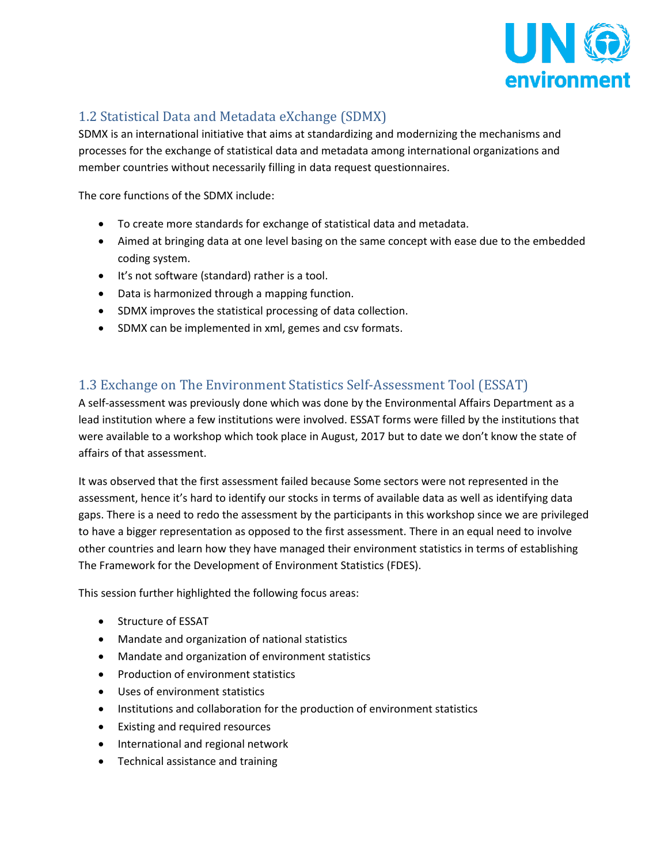

## 1.2 Statistical Data and Metadata eXchange (SDMX)

SDMX is an international initiative that aims at standardizing and modernizing the mechanisms and processes for the exchange of statistical data and metadata among international organizations and member countries without necessarily filling in data request questionnaires.

The core functions of the SDMX include:

- To create more standards for exchange of statistical data and metadata.
- Aimed at bringing data at one level basing on the same concept with ease due to the embedded coding system.
- It's not software (standard) rather is a tool.
- Data is harmonized through a mapping function.
- SDMX improves the statistical processing of data collection.
- SDMX can be implemented in xml, gemes and csv formats.

## 1.3 Exchange on The Environment Statistics Self-Assessment Tool (ESSAT)

A self-assessment was previously done which was done by the Environmental Affairs Department as a lead institution where a few institutions were involved. ESSAT forms were filled by the institutions that were available to a workshop which took place in August, 2017 but to date we don't know the state of affairs of that assessment.

It was observed that the first assessment failed because Some sectors were not represented in the assessment, hence it's hard to identify our stocks in terms of available data as well as identifying data gaps. There is a need to redo the assessment by the participants in this workshop since we are privileged to have a bigger representation as opposed to the first assessment. There in an equal need to involve other countries and learn how they have managed their environment statistics in terms of establishing The Framework for the Development of Environment Statistics (FDES).

This session further highlighted the following focus areas:

- Structure of ESSAT
- Mandate and organization of national statistics
- Mandate and organization of environment statistics
- Production of environment statistics
- Uses of environment statistics
- Institutions and collaboration for the production of environment statistics
- Existing and required resources
- International and regional network
- Technical assistance and training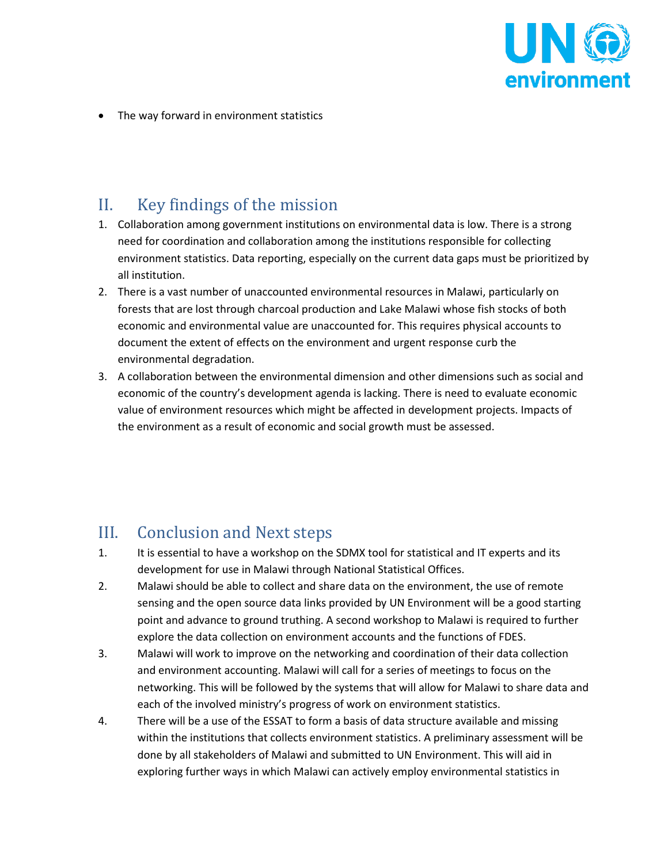

• The way forward in environment statistics

# II. Key findings of the mission

- 1. Collaboration among government institutions on environmental data is low. There is a strong need for coordination and collaboration among the institutions responsible for collecting environment statistics. Data reporting, especially on the current data gaps must be prioritized by all institution.
- 2. There is a vast number of unaccounted environmental resources in Malawi, particularly on forests that are lost through charcoal production and Lake Malawi whose fish stocks of both economic and environmental value are unaccounted for. This requires physical accounts to document the extent of effects on the environment and urgent response curb the environmental degradation.
- 3. A collaboration between the environmental dimension and other dimensions such as social and economic of the country's development agenda is lacking. There is need to evaluate economic value of environment resources which might be affected in development projects. Impacts of the environment as a result of economic and social growth must be assessed.

# III. Conclusion and Next steps

- 1. It is essential to have a workshop on the SDMX tool for statistical and IT experts and its development for use in Malawi through National Statistical Offices.
- 2. Malawi should be able to collect and share data on the environment, the use of remote sensing and the open source data links provided by UN Environment will be a good starting point and advance to ground truthing. A second workshop to Malawi is required to further explore the data collection on environment accounts and the functions of FDES.
- 3. Malawi will work to improve on the networking and coordination of their data collection and environment accounting. Malawi will call for a series of meetings to focus on the networking. This will be followed by the systems that will allow for Malawi to share data and each of the involved ministry's progress of work on environment statistics.
- 4. There will be a use of the ESSAT to form a basis of data structure available and missing within the institutions that collects environment statistics. A preliminary assessment will be done by all stakeholders of Malawi and submitted to UN Environment. This will aid in exploring further ways in which Malawi can actively employ environmental statistics in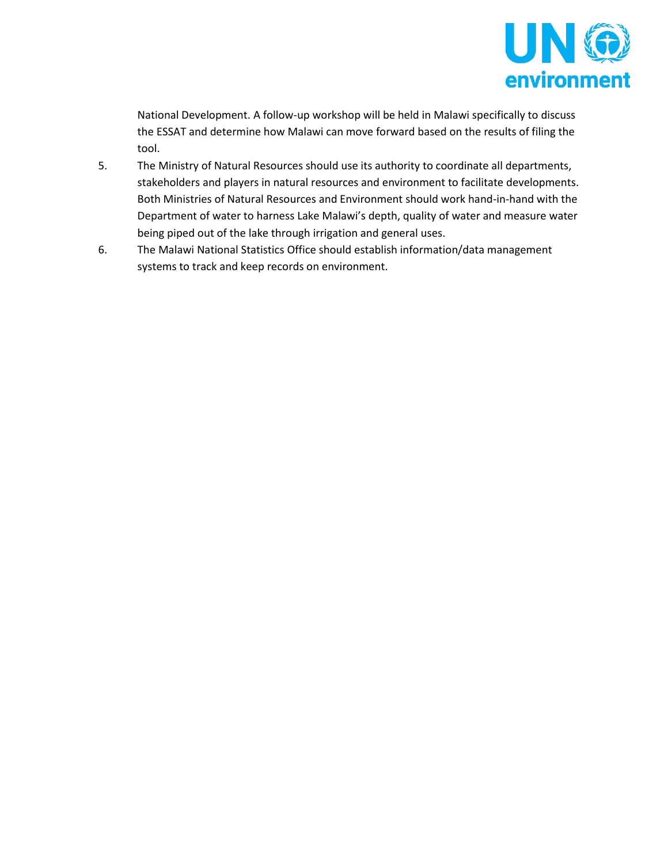

National Development. A follow-up workshop will be held in Malawi specifically to discuss the ESSAT and determine how Malawi can move forward based on the results of filing the tool.

- 5. The Ministry of Natural Resources should use its authority to coordinate all departments, stakeholders and players in natural resources and environment to facilitate developments. Both Ministries of Natural Resources and Environment should work hand-in-hand with the Department of water to harness Lake Malawi's depth, quality of water and measure water being piped out of the lake through irrigation and general uses.
- 6. The Malawi National Statistics Office should establish information/data management systems to track and keep records on environment.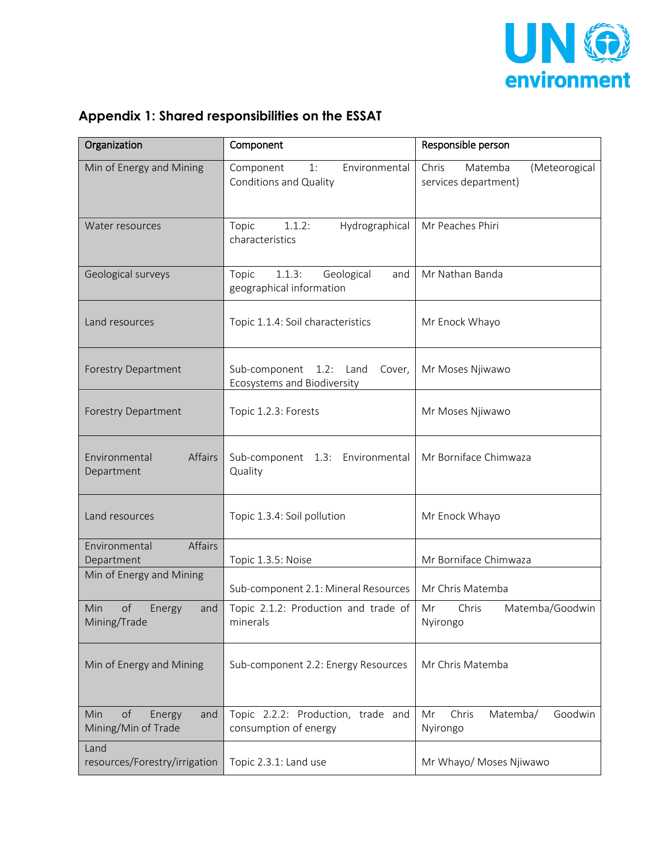

|  | Appendix 1: Shared responsibilities on the ESSAT |  |  |
|--|--------------------------------------------------|--|--|
|--|--------------------------------------------------|--|--|

| Organization                                      | Component                                                           | Responsible person                                        |
|---------------------------------------------------|---------------------------------------------------------------------|-----------------------------------------------------------|
| Min of Energy and Mining                          | Component<br>Environmental<br>1:<br>Conditions and Quality          | Chris<br>Matemba<br>(Meteorogical<br>services department) |
| Water resources                                   | 1.1.2:<br>Hydrographical<br>Topic<br>characteristics                | Mr Peaches Phiri                                          |
| Geological surveys                                | 1.1.3:<br>Geological<br>Topic<br>and<br>geographical information    | Mr Nathan Banda                                           |
| Land resources                                    | Topic 1.1.4: Soil characteristics                                   | Mr Enock Whayo                                            |
| <b>Forestry Department</b>                        | Sub-component 1.2:<br>Land<br>Cover,<br>Ecosystems and Biodiversity | Mr Moses Njiwawo                                          |
| <b>Forestry Department</b>                        | Topic 1.2.3: Forests                                                | Mr Moses Njiwawo                                          |
| Affairs<br>Environmental<br>Department            | Sub-component 1.3: Environmental<br>Quality                         | Mr Borniface Chimwaza                                     |
| Land resources                                    | Topic 1.3.4: Soil pollution                                         | Mr Enock Whayo                                            |
| <b>Affairs</b><br>Environmental<br>Department     | Topic 1.3.5: Noise                                                  | Mr Borniface Chimwaza                                     |
| Min of Energy and Mining                          | Sub-component 2.1: Mineral Resources                                | Mr Chris Matemba                                          |
| of<br>Min<br>Energy<br>and<br>Mining/Trade        | Topic 2.1.2: Production and trade of<br>minerals                    | Matemba/Goodwin<br>Mr<br>Chris<br>Nyirongo                |
| Min of Energy and Mining                          | Sub-component 2.2: Energy Resources                                 | Mr Chris Matemba                                          |
| of<br>Min<br>Energy<br>and<br>Mining/Min of Trade | Topic 2.2.2: Production, trade and<br>consumption of energy         | Mr<br>Chris<br>Matemba/<br>Goodwin<br>Nyirongo            |
| Land<br>resources/Forestry/irrigation             | Topic 2.3.1: Land use                                               | Mr Whayo/ Moses Njiwawo                                   |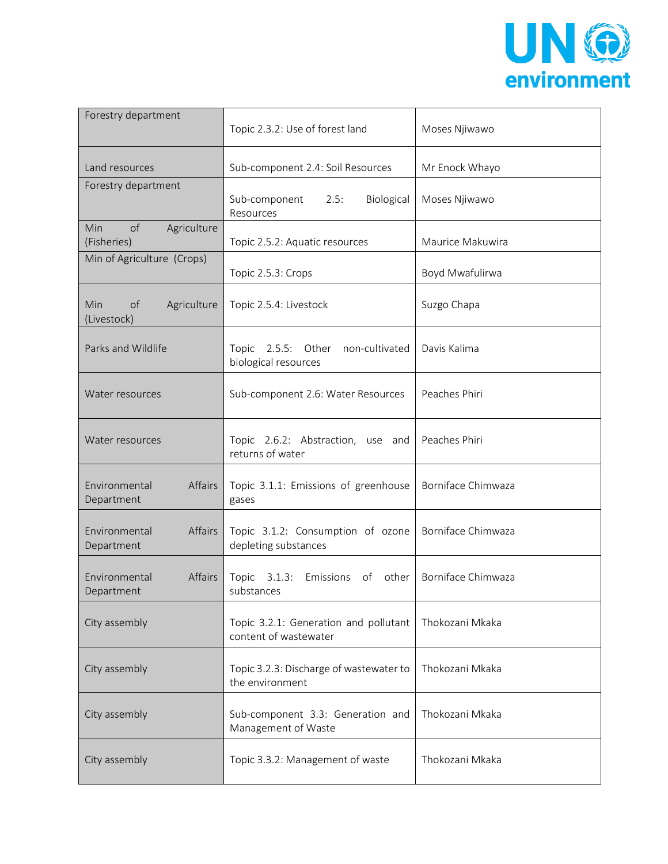

| Forestry department                     | Topic 2.3.2: Use of forest land                                | Moses Njiwawo      |
|-----------------------------------------|----------------------------------------------------------------|--------------------|
| Land resources                          | Sub-component 2.4: Soil Resources                              | Mr Enock Whayo     |
| Forestry department                     | Sub-component<br>Biological<br>2.5:<br>Resources               | Moses Njiwawo      |
| Min<br>of<br>Agriculture<br>(Fisheries) | Topic 2.5.2: Aquatic resources                                 | Maurice Makuwira   |
| Min of Agriculture (Crops)              | Topic 2.5.3: Crops                                             | Boyd Mwafulirwa    |
| of<br>Agriculture<br>Min<br>(Livestock) | Topic 2.5.4: Livestock                                         | Suzgo Chapa        |
| Parks and Wildlife                      | Topic 2.5.5: Other<br>non-cultivated<br>biological resources   | Davis Kalima       |
| Water resources                         | Sub-component 2.6: Water Resources                             | Peaches Phiri      |
| Water resources                         | Topic 2.6.2: Abstraction, use and<br>returns of water          | Peaches Phiri      |
| Affairs<br>Environmental<br>Department  | Topic 3.1.1: Emissions of greenhouse<br>gases                  | Borniface Chimwaza |
| Affairs<br>Environmental<br>Department  | Topic 3.1.2: Consumption of ozone<br>depleting substances      | Borniface Chimwaza |
| Environmental<br>Affairs<br>Department  | Topic<br>3.1.3:<br>Emissions<br>of<br>other<br>substances      | Borniface Chimwaza |
| City assembly                           | Topic 3.2.1: Generation and pollutant<br>content of wastewater | Thokozani Mkaka    |
| City assembly                           | Topic 3.2.3: Discharge of wastewater to<br>the environment     | Thokozani Mkaka    |
| City assembly                           | Sub-component 3.3: Generation and<br>Management of Waste       | Thokozani Mkaka    |
| City assembly                           | Topic 3.3.2: Management of waste                               | Thokozani Mkaka    |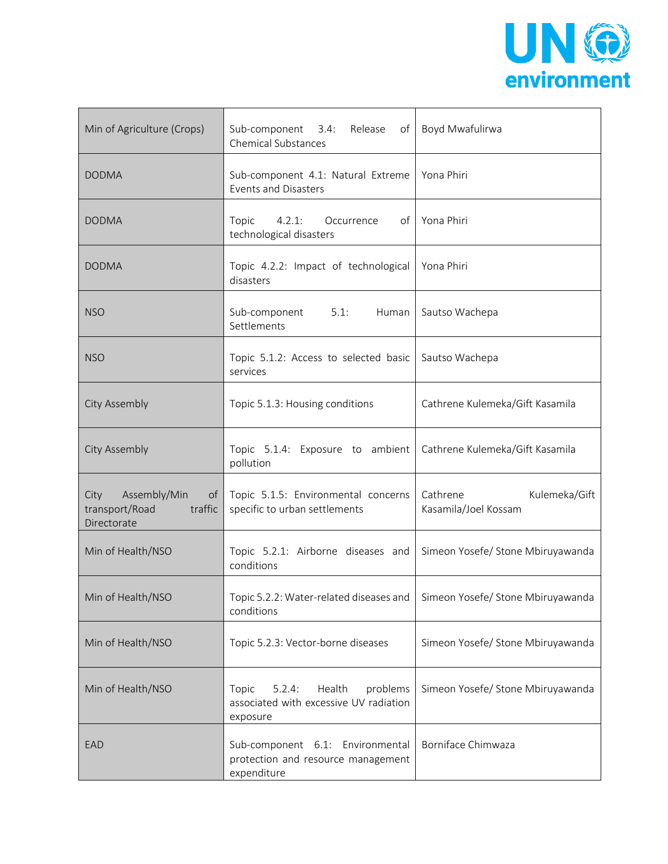

| Min of Agriculture (Crops)                                                          | Sub-component 3.4:<br>Release<br><b>Chemical Substances</b>                                 | of Boyd Mwafulirwa                                |
|-------------------------------------------------------------------------------------|---------------------------------------------------------------------------------------------|---------------------------------------------------|
| <b>DODMA</b>                                                                        | Sub-component 4.1: Natural Extreme<br><b>Events and Disasters</b>                           | Yona Phiri                                        |
| <b>DODMA</b>                                                                        | Topic<br>4.2.1:<br>of<br>Occurrence<br>technological disasters                              | Yona Phiri                                        |
| <b>DODMA</b>                                                                        | Topic 4.2.2: Impact of technological<br>disasters                                           | Yona Phiri                                        |
| <b>NSO</b>                                                                          | 5.1:<br>Sub-component<br>Human<br>Settlements                                               | Sautso Wachepa                                    |
| <b>NSO</b>                                                                          | Topic 5.1.2: Access to selected basic<br>services                                           | Sautso Wachepa                                    |
| <b>City Assembly</b>                                                                | Topic 5.1.3: Housing conditions                                                             | Cathrene Kulemeka/Gift Kasamila                   |
| <b>City Assembly</b>                                                                | Topic 5.1.4: Exposure to ambient<br>pollution                                               | Cathrene Kulemeka/Gift Kasamila                   |
| Assembly/Min<br>City<br>of <sub>l</sub><br>transport/Road<br>traffic<br>Directorate | Topic 5.1.5: Environmental concerns<br>specific to urban settlements                        | Cathrene<br>Kulemeka/Gift<br>Kasamila/Joel Kossam |
| Min of Health/NSO                                                                   | Topic 5.2.1: Airborne diseases and<br>conditions                                            | Simeon Yosefe/ Stone Mbiruyawanda                 |
| Min of Health/NSO                                                                   | Topic 5.2.2: Water-related diseases and   Simeon Yosefe/ Stone Mbiruyawanda<br>conditions   |                                                   |
| Min of Health/NSO                                                                   | Topic 5.2.3: Vector-borne diseases                                                          | Simeon Yosefe/ Stone Mbiruyawanda                 |
| Min of Health/NSO                                                                   | Health<br>problems<br>Topic<br>5.2.4:<br>associated with excessive UV radiation<br>exposure | Simeon Yosefe/ Stone Mbiruyawanda                 |
| EAD                                                                                 | Sub-component 6.1: Environmental<br>protection and resource management<br>expenditure       | Borniface Chimwaza                                |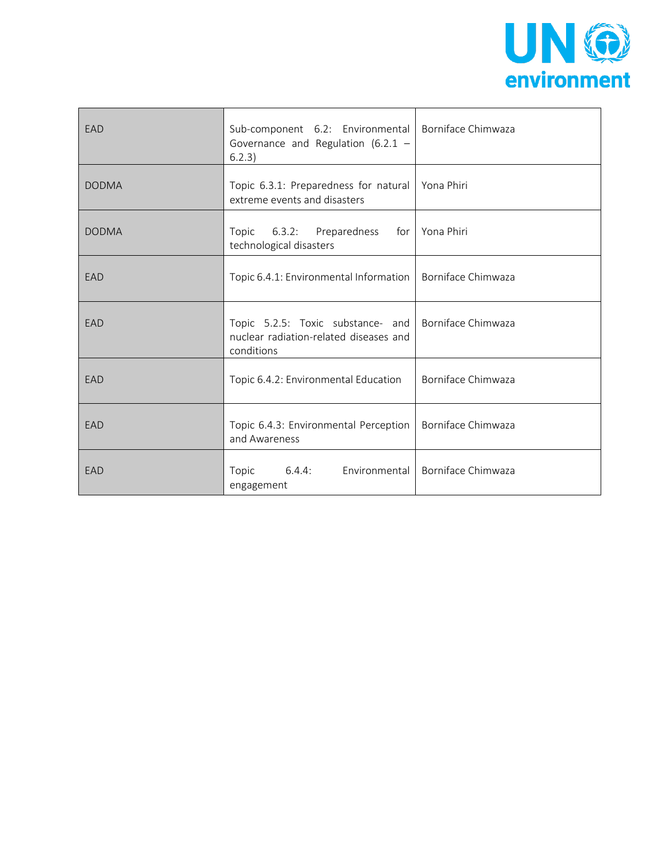

| EAD          | Sub-component 6.2: Environmental   Borniface Chimwaza<br>Governance and Regulation (6.2.1 $-$<br>6.2.3) |                    |
|--------------|---------------------------------------------------------------------------------------------------------|--------------------|
| <b>DODMA</b> | Topic 6.3.1: Preparedness for natural   Yona Phiri<br>extreme events and disasters                      |                    |
| <b>DODMA</b> | Topic 6.3.2: Preparedness for Yona Phiri<br>technological disasters                                     |                    |
| EAD          | Topic 6.4.1: Environmental Information   Borniface Chimwaza                                             |                    |
| EAD          | Topic 5.2.5: Toxic substance- and<br>nuclear radiation-related diseases and<br>conditions               | Borniface Chimwaza |
| EAD          | Topic 6.4.2: Environmental Education                                                                    | Borniface Chimwaza |
| EAD          | Topic 6.4.3: Environmental Perception<br>and Awareness                                                  | Borniface Chimwaza |
| EAD          | Topic<br>$6.4.4$ :<br>Environmental<br>engagement                                                       | Borniface Chimwaza |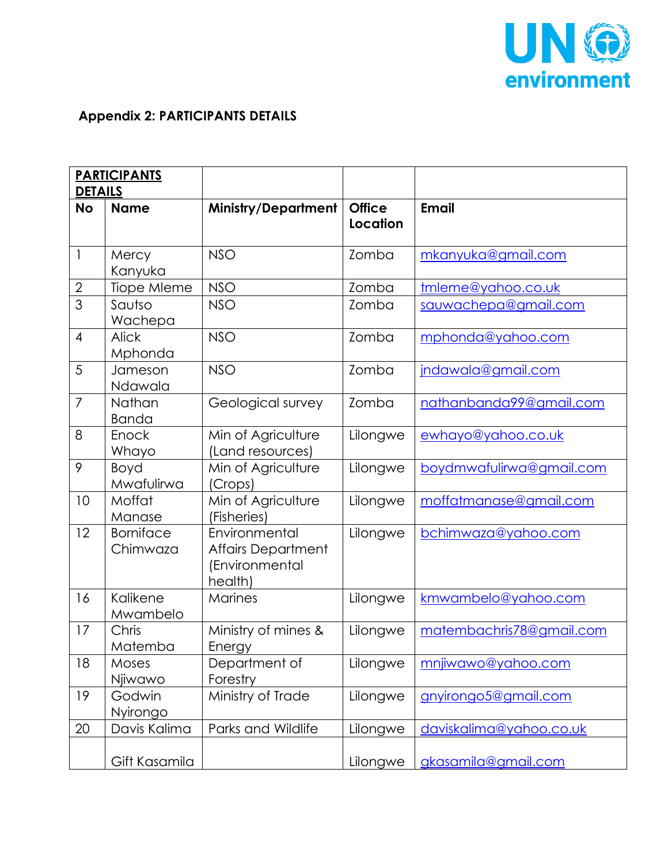

## **Appendix 2: PARTICIPANTS DETAILS**

|                | <b>PARTICIPANTS</b>          |                                                                         |                                  |                          |
|----------------|------------------------------|-------------------------------------------------------------------------|----------------------------------|--------------------------|
| <b>DETAILS</b> |                              |                                                                         |                                  |                          |
| <b>No</b>      | <b>Name</b>                  | <b>Ministry/Department</b>                                              | <b>Office</b><br><b>Location</b> | <b>Email</b>             |
| $\mathbf{1}$   | Mercy<br>Kanyuka             | <b>NSO</b>                                                              | Zomba                            | mkanyuka@gmail.com       |
| $\sqrt{2}$     | Tiope Mleme                  | <b>NSO</b>                                                              | Zomba                            | tmleme@yahoo.co.uk       |
| $\overline{3}$ | Sautso<br>Wachepa            | <b>NSO</b>                                                              | Zomba                            | sauwachepa@gmail.com     |
| $\overline{4}$ | <b>Alick</b><br>Mphonda      | <b>NSO</b>                                                              | Zomba                            | mphonda@yahoo.com        |
| 5              | Jameson<br>Ndawala           | <b>NSO</b>                                                              | Zomba                            | jndawala@gmail.com       |
| $\overline{7}$ | Nathan<br><b>Banda</b>       | Geological survey                                                       | Zomba                            | nathanbanda99@gmail.com  |
| 8              | Enock<br>Whayo               | Min of Agriculture<br>(Land resources)                                  | Lilongwe                         | ewhayo@yahoo.co.uk       |
| 9              | Boyd<br>Mwafulirwa           | Min of Agriculture<br>(Crops)                                           | Lilongwe                         | boydmwafulirwa@gmail.com |
| 10             | Moffat<br>Manase             | Min of Agriculture<br>(Fisheries)                                       | Lilongwe                         | moffatmanase@gmail.com   |
| 12             | <b>Borniface</b><br>Chimwaza | Environmental<br><b>Affairs Department</b><br>(Environmental<br>health) | Lilongwe                         | bchimwaza@yahoo.com      |
| 16             | Kalikene<br>Mwambelo         | <b>Marines</b>                                                          | Lilongwe                         | kmwambelo@yahoo.com      |
| 17             | Chris<br>Matemba             | Ministry of mines &<br>Energy                                           | Lilongwe                         | matembachris78@gmail.com |
| 18             | Moses<br>Njiwawo             | Department of<br>Forestry                                               | Lilongwe                         | mnjiwawo@yahoo.com       |
| 19             | Godwin<br>Nyirongo           | Ministry of Trade                                                       | Lilongwe                         | gnyirongo5@gmail.com     |
| $20\,$         | Davis Kalima                 | Parks and Wildlife                                                      | Lilongwe                         | daviskalima@yahoo.co.uk  |
|                | Gift Kasamila                |                                                                         | Lilongwe                         | gkasamila@gmail.com      |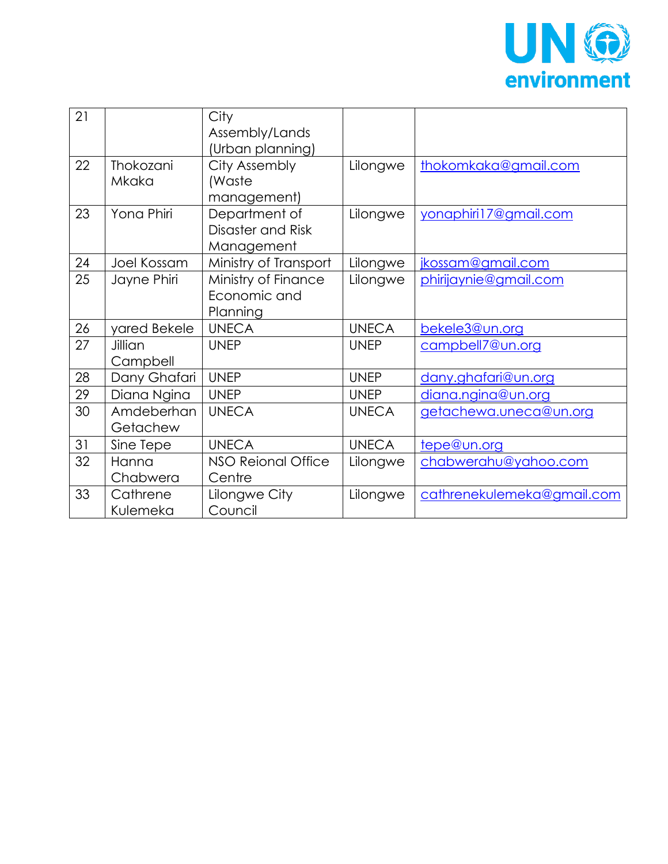

| 21 |              | City                  |              |                            |
|----|--------------|-----------------------|--------------|----------------------------|
|    |              | Assembly/Lands        |              |                            |
|    |              | (Urban planning)      |              |                            |
| 22 | Thokozani    | City Assembly         | Lilongwe     | thokomkaka@gmail.com       |
|    | Mkaka        | (Waste                |              |                            |
|    |              | management)           |              |                            |
| 23 | Yona Phiri   | Department of         | Lilongwe     | yonaphiri17@gmail.com      |
|    |              | Disaster and Risk     |              |                            |
|    |              | Management            |              |                            |
| 24 | Joel Kossam  | Ministry of Transport | Lilongwe     | jkossam@gmail.com          |
| 25 | Jayne Phiri  | Ministry of Finance   | Lilongwe     | phirijaynie@gmail.com      |
|    |              | Economic and          |              |                            |
|    |              | Planning              |              |                            |
| 26 | yared Bekele | <b>UNECA</b>          | <b>UNECA</b> | bekele3@un.org             |
| 27 | Jillian      | <b>UNEP</b>           | <b>UNEP</b>  | campbell7@un.org           |
|    | Campbell     |                       |              |                            |
| 28 | Dany Ghafari | <b>UNEP</b>           | <b>UNEP</b>  | dany.ghafari@un.org        |
| 29 | Diana Ngina  | <b>UNEP</b>           | <b>UNEP</b>  | diana.ngina@un.org         |
| 30 | Amdeberhan   | <b>UNECA</b>          | <b>UNECA</b> | getachewa.uneca@un.org     |
|    | Getachew     |                       |              |                            |
| 31 | Sine Tepe    | <b>UNECA</b>          | <b>UNECA</b> | tepe@un.org                |
| 32 | Hanna        | NSO Reional Office    | Lilongwe     | chabwerahu@yahoo.com       |
|    | Chabwera     | Centre                |              |                            |
| 33 | Cathrene     | Lilongwe City         | Lilongwe     | cathrenekulemeka@gmail.com |
|    | Kulemeka     | Council               |              |                            |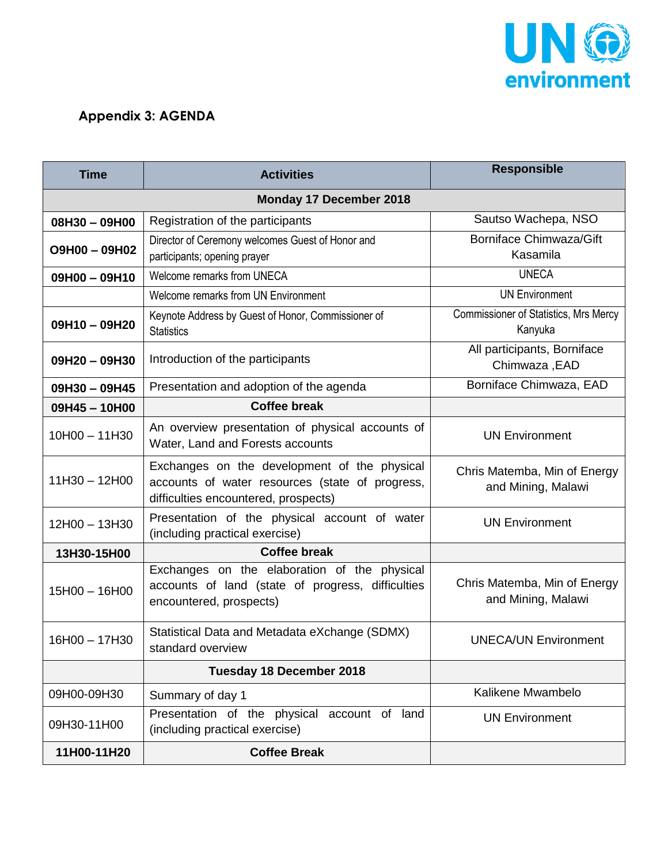

## **Appendix 3: AGENDA**

| <b>Time</b>             | <b>Activities</b>                                                                                                                       | <b>Responsible</b>                                 |  |
|-------------------------|-----------------------------------------------------------------------------------------------------------------------------------------|----------------------------------------------------|--|
| Monday 17 December 2018 |                                                                                                                                         |                                                    |  |
| 08H30 - 09H00           | Registration of the participants                                                                                                        | Sautso Wachepa, NSO                                |  |
| O9H00 - 09H02           | Director of Ceremony welcomes Guest of Honor and<br>participants; opening prayer                                                        | <b>Borniface Chimwaza/Gift</b><br>Kasamila         |  |
| 09H00 - 09H10           | Welcome remarks from UNECA                                                                                                              | <b>UNECA</b>                                       |  |
|                         | Welcome remarks from UN Environment                                                                                                     | <b>UN Environment</b>                              |  |
| 09H10-09H20             | Keynote Address by Guest of Honor, Commissioner of<br><b>Statistics</b>                                                                 | Commissioner of Statistics, Mrs Mercy<br>Kanyuka   |  |
| 09H20-09H30             | Introduction of the participants                                                                                                        | All participants, Borniface<br>Chimwaza, EAD       |  |
| 09H30-09H45             | Presentation and adoption of the agenda                                                                                                 | Borniface Chimwaza, EAD                            |  |
| 09H45-10H00             | <b>Coffee break</b>                                                                                                                     |                                                    |  |
| $10H00 - 11H30$         | An overview presentation of physical accounts of<br>Water, Land and Forests accounts                                                    | <b>UN Environment</b>                              |  |
| $11H30 - 12H00$         | Exchanges on the development of the physical<br>accounts of water resources (state of progress,<br>difficulties encountered, prospects) | Chris Matemba, Min of Energy<br>and Mining, Malawi |  |
| 12H00 - 13H30           | Presentation of the physical account of water<br>(including practical exercise)                                                         | <b>UN Environment</b>                              |  |
| 13H30-15H00             | <b>Coffee break</b>                                                                                                                     |                                                    |  |
| 15H00 - 16H00           | Exchanges on the elaboration of the physical<br>accounts of land (state of progress, difficulties<br>encountered, prospects)            | Chris Matemba, Min of Energy<br>and Mining, Malawi |  |
| 16H00 - 17H30           | Statistical Data and Metadata eXchange (SDMX)<br>standard overview                                                                      | <b>UNECA/UN Environment</b>                        |  |
|                         | <b>Tuesday 18 December 2018</b>                                                                                                         |                                                    |  |
| 09H00-09H30             | Summary of day 1                                                                                                                        | Kalikene Mwambelo                                  |  |
| 09H30-11H00             | Presentation of the physical<br>account of land<br>(including practical exercise)                                                       | <b>UN Environment</b>                              |  |
| 11H00-11H20             | <b>Coffee Break</b>                                                                                                                     |                                                    |  |